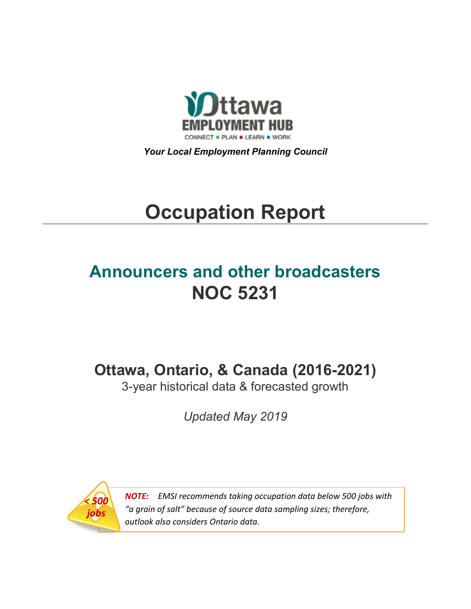

*Your Local Employment Planning Council*

# **Occupation Report**

# **Announcers and other broadcasters NOC 5231**

**Ottawa, Ontario, & Canada (2016-2021)**

3-year historical data & forecasted growth

*Updated May 2019*



*NOTE: EMSI recommends taking occupation data below 500 jobs with "a grain of salt" because of source data sampling sizes; therefore, outlook also considers Ontario data.*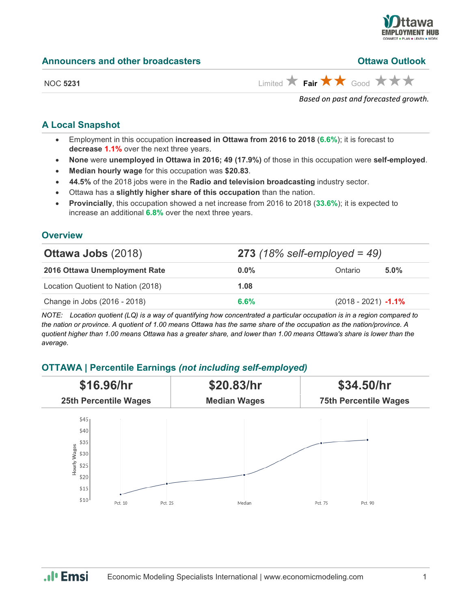

**Andrx A** 

NOC 5231 **Limited Fair**  $\uparrow$  **Fair**  $\uparrow$  Good  $\uparrow$   $\uparrow$   $\uparrow$ 

*Based on past and forecasted growth.*

# **A Local Snapshot**

- Employment in this occupation **increased in Ottawa from 2016 to 2018** (**6.6%**); it is forecast to **decrease 1.1%** over the next three years.
- **None** were **unemployed in Ottawa in 2016; 49 (17.9%)** of those in this occupation were **self-employed**.
- **Median hourly wage** for this occupation was **\$20.83**.
- **44.5%** of the 2018 jobs were in the **Radio and television broadcasting** industry sector.
- Ottawa has a **slightly higher share of this occupation** than the nation.
- **Provincially**, this occupation showed a net increase from 2016 to 2018 (**33.6%**); it is expected to increase an additional **6.8%** over the next three years.

# **Overview**

| <b>Ottawa Jobs (2018)</b>          | <b>273</b> (18% self-employed = 49) |                        |         |
|------------------------------------|-------------------------------------|------------------------|---------|
| 2016 Ottawa Unemployment Rate      | $0.0\%$                             | Ontario                | $5.0\%$ |
| Location Quotient to Nation (2018) | 1.08                                |                        |         |
| Change in Jobs (2016 - 2018)       | 6.6%                                | $(2018 - 2021) -1.1\%$ |         |

*NOTE: Location quotient (LQ) is a way of quantifying how concentrated a particular occupation is in a region compared to the nation or province. A quotient of 1.00 means Ottawa has the same share of the occupation as the nation/province. A quotient higher than 1.00 means Ottawa has a greater share, and lower than 1.00 means Ottawa's share is lower than the average.*

# **OTTAWA | Percentile Earnings** *(not including self-employed)*



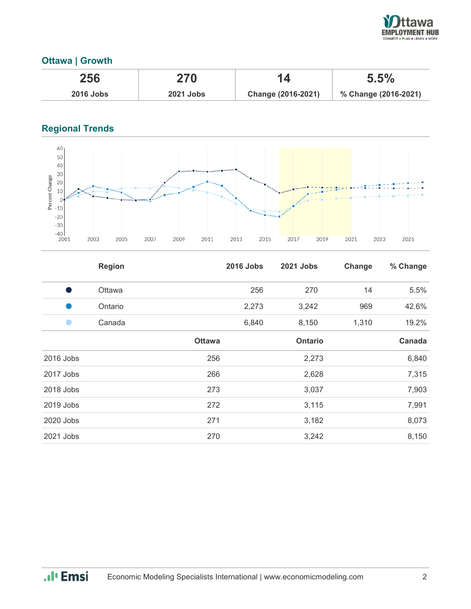

## **Ottawa | Growth**

| 256         | 270              |                    | 5.5%                 |
|-------------|------------------|--------------------|----------------------|
| $2016$ Jobs | <b>2021 Jobs</b> | Change (2016-2021) | % Change (2016-2021) |

# **Regional Trends**



|           | <b>Region</b> |               | <b>2016 Jobs</b> | <b>2021 Jobs</b> | Change | % Change |
|-----------|---------------|---------------|------------------|------------------|--------|----------|
| Ð         | Ottawa        |               | 256              | 270              | 14     | 5.5%     |
|           | Ontario       |               | 2,273            | 3,242            | 969    | 42.6%    |
|           | Canada        |               | 6,840            | 8,150            | 1,310  | 19.2%    |
|           |               | <b>Ottawa</b> |                  | <b>Ontario</b>   |        | Canada   |
| 2016 Jobs |               | 256           |                  | 2,273            |        | 6,840    |
| 2017 Jobs |               | 266           |                  | 2,628            |        | 7,315    |
| 2018 Jobs |               | 273           |                  | 3,037            |        | 7,903    |
| 2019 Jobs |               | 272           |                  | 3,115            |        | 7,991    |
| 2020 Jobs |               | 271           |                  | 3,182            |        | 8,073    |
| 2021 Jobs |               | 270           |                  | 3,242            |        | 8,150    |

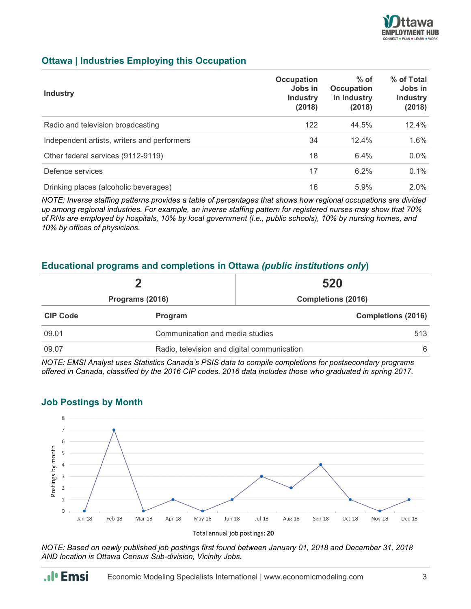

## **Ottawa | Industries Employing this Occupation**

| <b>Industry</b>                             | <b>Occupation</b><br>Jobs in<br><b>Industry</b><br>(2018) | $%$ of<br><b>Occupation</b><br>in Industry<br>(2018) | % of Total<br>Jobs in<br><b>Industry</b><br>(2018) |
|---------------------------------------------|-----------------------------------------------------------|------------------------------------------------------|----------------------------------------------------|
| Radio and television broadcasting           | 122                                                       | 44.5%                                                | 12.4%                                              |
| Independent artists, writers and performers | 34                                                        | 12.4%                                                | 1.6%                                               |
| Other federal services (9112-9119)          | 18                                                        | 6.4%                                                 | $0.0\%$                                            |
| Defence services                            | 17                                                        | 6.2%                                                 | 0.1%                                               |
| Drinking places (alcoholic beverages)       | 16                                                        | 5.9%                                                 | 2.0%                                               |

*NOTE: Inverse staffing patterns provides a table of percentages that shows how regional occupations are divided up among regional industries. For example, an inverse staffing pattern for registered nurses may show that 70% of RNs are employed by hospitals, 10% by local government (i.e., public schools), 10% by nursing homes, and 10% by offices of physicians.*

### **Educational programs and completions in Ottawa** *(public institutions only***)**

|                 |                                                  | 520                       |
|-----------------|--------------------------------------------------|---------------------------|
| Programs (2016) |                                                  | <b>Completions (2016)</b> |
| <b>CIP Code</b> | Program                                          | <b>Completions (2016)</b> |
| 09.01           | Communication and media studies                  | 513                       |
| 09.07           | Radio, television and digital communication<br>6 |                           |

*NOTE: EMSI Analyst uses Statistics Canada's PSIS data to compile completions for postsecondary programs offered in Canada, classified by the 2016 CIP codes. 2016 data includes those who graduated in spring 2017.*

#### **Job Postings by Month**



Total annual job postings: 20

*NOTE: Based on newly published job postings first found between January 01, 2018 and December 31, 2018 AND location is Ottawa Census Sub-division, Vicinity Jobs.*